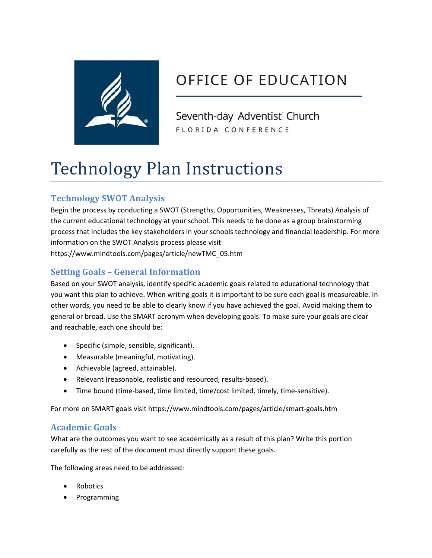

# OFFICE OF EDUCATION

Seventh-day Adventist Church FLORIDA CONFERENCE

# Technology Plan Instructions

# **Technology SWOT Analysis**

Begin the process by conducting a SWOT (Strengths, Opportunities, Weaknesses, Threats) Analysis of the current educational technology at your school. This needs to be done as a group brainstorming process that includes the key stakeholders in your schools technology and financial leadership. For more information on the SWOT Analysis process please visit https://www.mindtools.com/pages/article/newTMC\_05.htm

# **Setting Goals – General Information**

Based on your SWOT analysis, identify specific academic goals related to educational technology that you want this plan to achieve. When writing goals it is important to be sure each goal is measureable. In other words, you need to be able to clearly know if you have achieved the goal. Avoid making them to general or broad. Use the SMART acronym when developing goals. To make sure your goals are clear and reachable, each one should be:

- Specific (simple, sensible, significant).
- Measurable (meaningful, motivating).
- Achievable (agreed, attainable).
- Relevant (reasonable, realistic and resourced, results-based).
- Time bound (time-based, time limited, time/cost limited, timely, time-sensitive).

For more on SMART goals visit https://www.mindtools.com/pages/article/smart‐goals.htm

# **Academic Goals**

What are the outcomes you want to see academically as a result of this plan? Write this portion carefully as the rest of the document must directly support these goals.

The following areas need to be addressed:

- Robotics
- Programming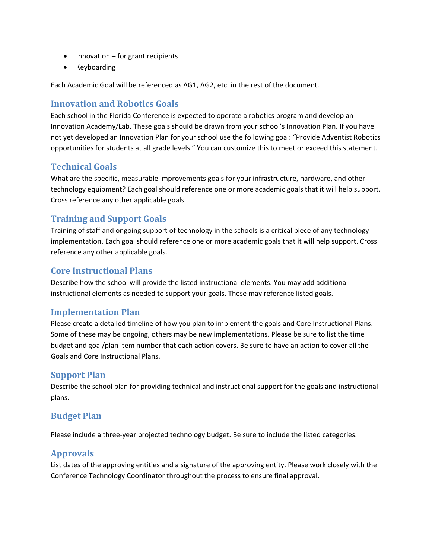- Innovation for grant recipients
- Keyboarding

Each Academic Goal will be referenced as AG1, AG2, etc. in the rest of the document.

#### **Innovation and Robotics Goals**

Each school in the Florida Conference is expected to operate a robotics program and develop an Innovation Academy/Lab. These goals should be drawn from your school's Innovation Plan. If you have not yet developed an Innovation Plan for your school use the following goal: "Provide Adventist Robotics opportunities for students at all grade levels." You can customize this to meet or exceed this statement.

#### **Technical Goals**

What are the specific, measurable improvements goals for your infrastructure, hardware, and other technology equipment? Each goal should reference one or more academic goals that it will help support. Cross reference any other applicable goals.

#### **Training and Support Goals**

Training of staff and ongoing support of technology in the schools is a critical piece of any technology implementation. Each goal should reference one or more academic goals that it will help support. Cross reference any other applicable goals.

#### **Core Instructional Plans**

Describe how the school will provide the listed instructional elements. You may add additional instructional elements as needed to support your goals. These may reference listed goals.

#### **Implementation Plan**

Please create a detailed timeline of how you plan to implement the goals and Core Instructional Plans. Some of these may be ongoing, others may be new implementations. Please be sure to list the time budget and goal/plan item number that each action covers. Be sure to have an action to cover all the Goals and Core Instructional Plans.

#### **Support Plan**

Describe the school plan for providing technical and instructional support for the goals and instructional plans.

#### **Budget Plan**

Please include a three‐year projected technology budget. Be sure to include the listed categories.

#### **Approvals**

List dates of the approving entities and a signature of the approving entity. Please work closely with the Conference Technology Coordinator throughout the process to ensure final approval.